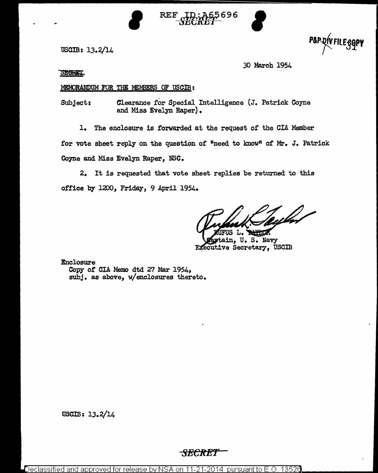

**REF** ID: 465696

uscm: 13.2/14

P&P.DIVFILE.GOPY

.30 March 1954

**SECRET** 

## MEMORANDUM FOR THE MEMBERS OF USCIB:

Subject: Clearance £or Special Intelligence (J. Patrick Coyne and Miss Evelyn Raper) •

1. The enclosure is forwarded at the request of the GIA Member

for vote sheet reply on the question of "need to know" of Mr. J. Patrick Coyne and Miss Evelyn Raper, NSC.

2. It is requested that vote sheet replies be returned to this office by 1200, Friday, 9 April 1954.

feyled

ain, u. s. Navy **Executive Secretary, USCIB** 

Enclosure Copy of CIA Memo dtd 27 Mar 1954, subj. as above, w/enclosures thereto.

USGIB: 13.2/14

## *SECRET*

Declassifie<u>d and approved for release by NSA on 11-21-2014</u> pursuant to E.O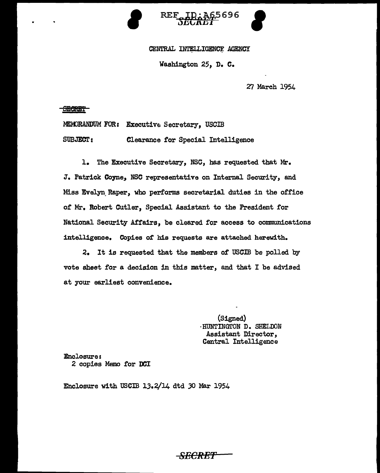



#### CENTRAL INTELLIGENCE AGENCY

Washington 25, D. c.

27 March 1954

#### **SECRET**

MEMORANDUM FOR: Executive Secretary, USCIB SUBJECT: Clearance for Special Intelligence

l. The Executive Secretary, NSC, has requested that Mr. J. Patrick Coyne, NSC representative on Internal Security, and Miss Evelyn Raper, who performs secretarial duties in the office of Mr. Robert Cutler, Special Assistant to the President for National Security Affairs, be cleared tor access to communications intelligence. Copies of his requests are attached herewith.

2. It is requested that the members of USCIB be polled by vote sheet for a decision in this matter, and that I be advised at your earliest convenience.

> (Signed) ·HUNTINGTON D. SHELDON Assistant Director, Central Intelligence

Enclosure: 2 copies Memo for DCI

Enclosure with USCIB  $13.2/14$  dtd 30 Mar 1954

SECRE'f'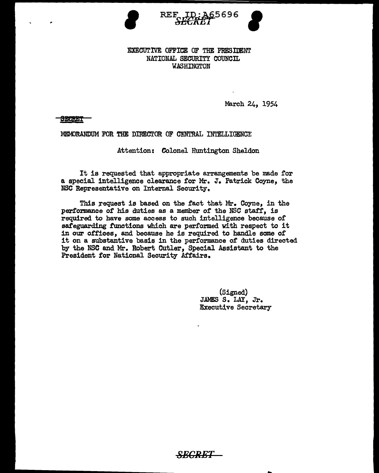

EXECUTIVE OFFICE OF THE PRESIDENT NATIONAL SECURITY COUNCIL WASHINGTON

March 24, 1954

SECRET

MEMORANDUM FOR THE DIRECTOR OF CENTRAL INTELLIGENCE

Attention: Colonel Huntington Sheldon

It is requested that appropriate arrangements be made for a special intelligence clearance tor Mr. J. Patrick Coyne, the NSC Representative on Internal Security.

This request is based on the fact that Mr. Coyne, in the performance of his duties as a member of the NSC staff, is required to have some access to such intelligence because *ot*  safeguarding functions which are performed with respect to it in our offices, and because he is required to handle some of it on a substantive basis in the performance of duties directed by the NSC and Mr. Robert Cutler, Special Assistant to the President for National Security Affairs.

> (Signed) JAMES s. LAY, Jr. **Executive Secretary**

> > ...

*SECRET*